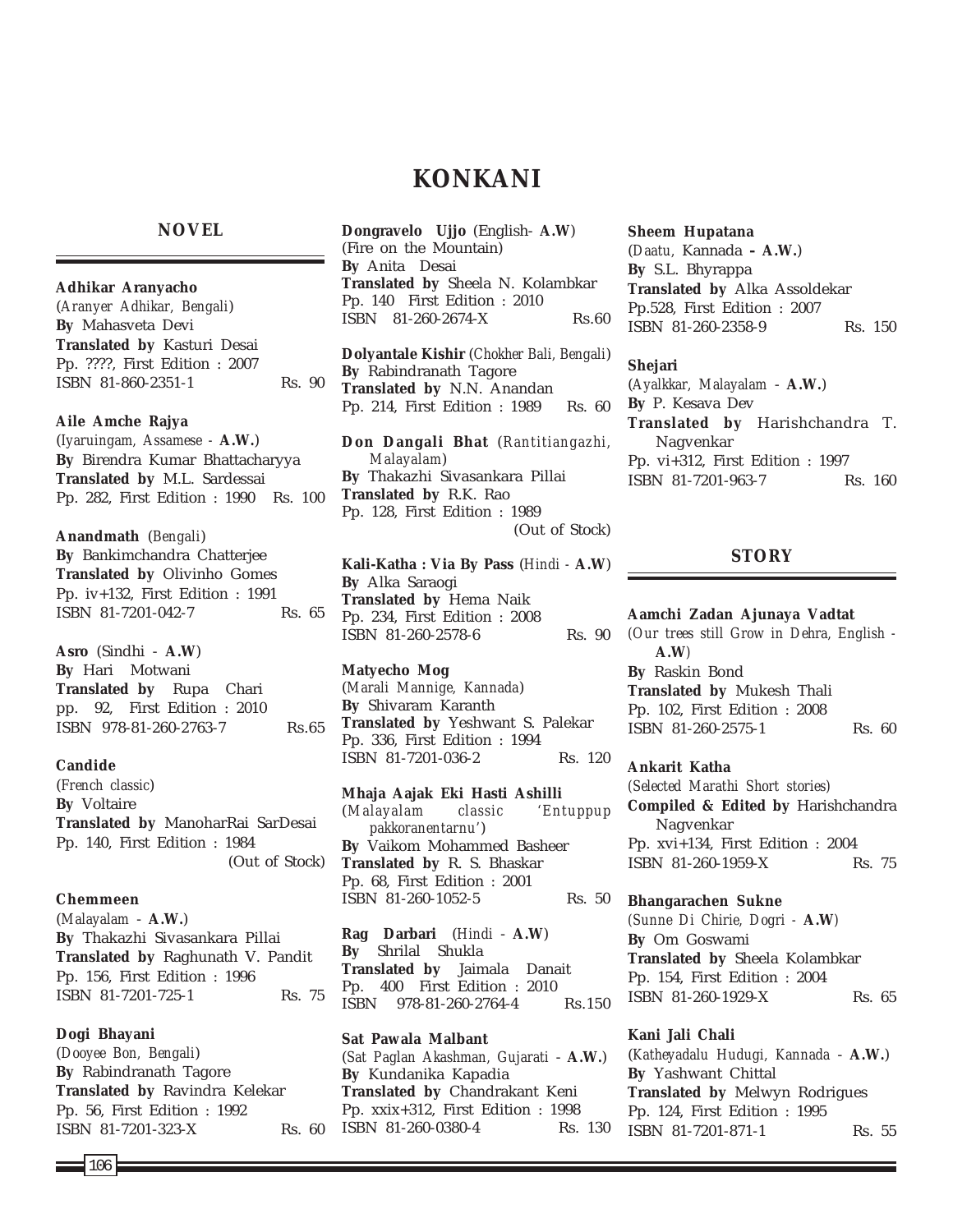# **KONKANI**

### **NOVEL**

**Adhikar Aranyacho** (*Aranyer Adhikar, Bengali*) **By** Mahasveta Devi **Translated by** Kasturi Desai Pp. ????, First Edition : 2007 ISBN 81-860-2351-1 Rs. 90

#### **Aile Amche Rajya**

(*Iyaruingam, Assamese -* **A.W.**) **By** Birendra Kumar Bhattacharyya **Translated by** M.L. Sardessai Pp. 282, First Edition : 1990 Rs. 100

**Anandmath** (*Bengali*) **By** Bankimchandra Chatterjee **Translated by** Olivinho Gomes Pp. iv+132, First Edition : 1991 ISBN 81-7201-042-7 Rs. 65

**Asro** (Sindhi - **A.W**) **By** Hari Motwani **Translated by** Rupa Chari pp. 92, First Edition : 2010 ISBN 978-81-260-2763-7 Rs.65

#### **Candide**

(*French classic*) **By** Voltaire **Translated by** ManoharRai SarDesai Pp. 140, First Edition : 1984 (Out of Stock)

**Chemmeen** (*Malayalam* - **A.W.**) **By** Thakazhi Sivasankara Pillai **Translated by** Raghunath V. Pandit Pp. 156, First Edition : 1996 ISBN 81-7201-725-1 Rs. 75

**Dogi Bhayani** (*Dooyee Bon, Bengali*) **By** Rabindranath Tagore **Translated by** Ravindra Kelekar Pp. 56, First Edition : 1992 ISBN 81-7201-323-X Rs. 60 **Dongravelo Ujjo** (English- **A.W**) (Fire on the Mountain) **By** Anita Desai **Translated by** Sheela N. Kolambkar Pp. 140 First Edition : 2010 ISBN 81-260-2674-X Rs.60

**Dolyantale Kishir** (*Chokher Bali, Bengali*) **By** Rabindranath Tagore **Translated by** N.N. Anandan Pp. 214, First Edition : 1989 Rs. 60

**Don Dangali Bhat** (*Rantitiangazhi, Malayalam*) **By** Thakazhi Sivasankara Pillai **Translated by** R.K. Rao Pp. 128, First Edition : 1989 (Out of Stock)

**Kali-Katha : Via By Pass** (*Hindi -* **A.W**) **By** Alka Saraogi **Translated by** Hema Naik Pp. 234, First Edition : 2008 ISBN 81-260-2578-6 Rs. 90

### **Matyecho Mog**

(*Marali Mannige, Kannada*) **By** Shivaram Karanth **Translated by** Yeshwant S. Palekar Pp. 336, First Edition : 1994 ISBN 81-7201-036-2 Rs. 120

**Mhaja Aajak Eki Hasti Ashilli** (*Malayalam classic 'Entuppup pakkoranentarnu'*) **By** Vaikom Mohammed Basheer **Translated by** R. S. Bhaskar Pp. 68, First Edition : 2001 ISBN 81-260-1052-5 Rs. 50

**Rag Darbari** (*Hindi* - **A.W**) **By** Shrilal Shukla **Translated by** Jaimala Danait Pp. 400 First Edition : 2010 ISBN 978-81-260-2764-4 Rs.150

**Sat Pawala Malbant** (*Sat Paglan Akashman, Gujarati* - **A.W.**) **By** Kundanika Kapadia **Translated by** Chandrakant Keni Pp. xxix+312, First Edition : 1998 ISBN 81-260-0380-4 Rs. 130 **Sheem Hupatana** (*Daatu,* Kannada *-* **A.W.**) **By** S.L. Bhyrappa **Translated by** Alka Assoldekar Pp.528, First Edition : 2007 ISBN 81-260-2358-9 Rs. 150

**Shejari** (*Ayalkkar, Malayalam* - **A.W.**) **By** P. Kesava Dev **Translated by** Harishchandra T. Nagvenkar Pp. vi+312, First Edition : 1997 ISBN 81-7201-963-7 Rs. 160

## **STORY**

**Aamchi Zadan Ajunaya Vadtat** *(Our trees still Grow in Dehra, English -* **A.W***)* **By** Raskin Bond **Translated by** Mukesh Thali Pp. 102, First Edition : 2008 ISBN 81-260-2575-1 Rs. 60

#### **Ankarit Katha**

*(Selected Marathi Short stories)* **Compiled & Edited by** Harishchandra Nagvenkar Pp. xvi+134, First Edition : 2004 ISBN 81-260-1959-X Rs. 75

**Bhangarachen Sukne**

*(Sunne Di Chirie, Dogri -* **A.W***)* **By** Om Goswami **Translated by** Sheela Kolambkar Pp. 154, First Edition : 2004 ISBN 81-260-1929-X Rs. 65

## **Kani Jali Chali** (*Katheyadalu Hudugi, Kannada* - **A.W.**) **By** Yashwant Chittal **Translated by** Melwyn Rodrigues Pp. 124, First Edition : 1995 ISBN 81-7201-871-1 Rs. 55

106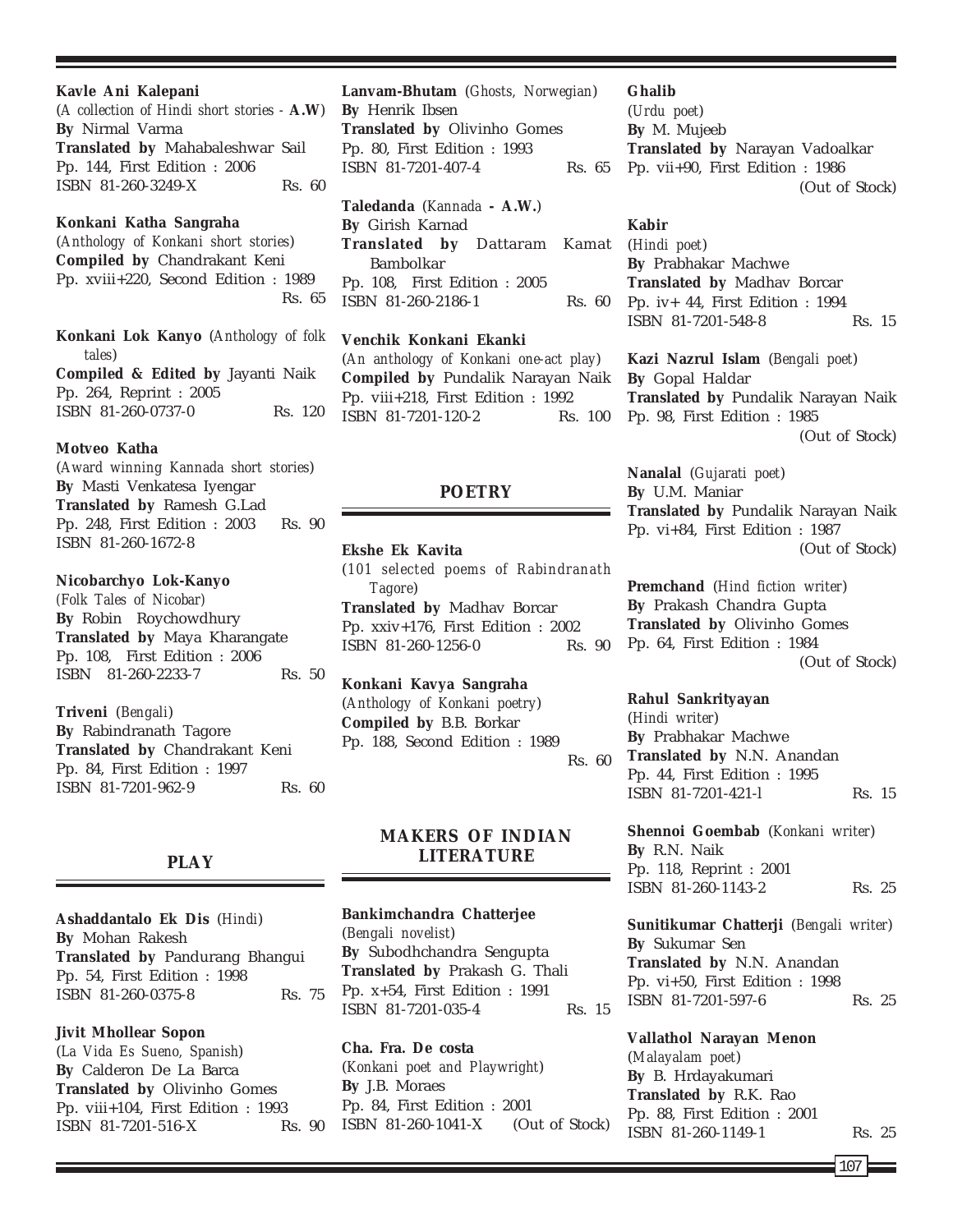#### **Kavle Ani Kalepani**

(*A collection of Hindi short stories -* **A.W**) **By** Nirmal Varma **Translated by** Mahabaleshwar Sail Pp. 144, First Edition : 2006 ISBN 81-260-3249-X Rs. 60

### **Konkani Katha Sangraha**

(*Anthology of Konkani short stories*) **Compiled by** Chandrakant Keni Pp. xviii+220, Second Edition : 1989 Rs. 65

**Konkani Lok Kanyo** (*Anthology of folk tales*) **Compiled & Edited by** Jayanti Naik Pp. 264, Reprint : 2005 ISBN 81-260-0737-0 Rs. 120

#### **Motveo Katha**

(*Award winning Kannada short stories*) **By** Masti Venkatesa Iyengar **Translated by** Ramesh G.Lad Pp. 248, First Edition : 2003 Rs. 90 ISBN 81-260-1672-8

### **Nicobarchyo Lok-Kanyo**

*(Folk Tales of Nicobar)* **By** Robin Roychowdhury **Translated by** Maya Kharangate Pp. 108, First Edition : 2006 ISBN 81-260-2233-7 Rs. 50

**Triveni** (*Bengali*)

**By** Rabindranath Tagore **Translated by** Chandrakant Keni Pp. 84, First Edition : 1997 ISBN 81-7201-962-9 Rs. 60

### **PLAY**

**Ashaddantalo Ek Dis** (*Hindi*) **By** Mohan Rakesh **Translated by** Pandurang Bhangui Pp. 54, First Edition : 1998 ISBN 81-260-0375-8 Rs. 75

**Jivit Mhollear Sopon** (*La Vida Es Sueno, Spanish*) **By** Calderon De La Barca **Translated by** Olivinho Gomes Pp. viii+104, First Edition : 1993 ISBN 81-7201-516-X Rs. 90 **Lanvam-Bhutam** (*Ghosts, Norwegian*) **By** Henrik Ibsen **Translated by** Olivinho Gomes Pp. 80, First Edition : 1993 ISBN 81-7201-407-4 Rs. 65

**Taledanda** (*Kannada* **- A.W.**) **By** Girish Karnad **Translated by Dattaram** Bambolkar Pp. 108, First Edition : 2005 ISBN 81-260-2186-1 Rs. 60

**Venchik Konkani Ekanki** (*An anthology of Konkani one-act play*) **Compiled by** Pundalik Narayan Naik Pp. viii+218, First Edition : 1992 ISBN 81-7201-120-2 Rs. 100

## **POETRY**

#### **Ekshe Ek Kavita**

(*101 selected poems of Rabindranath Tagore*) **Translated by** Madhav Borcar Pp. xxiv+176, First Edition : 2002 ISBN 81-260-1256-0 Rs. 90

**Konkani Kavya Sangraha** (*Anthology of Konkani poetry*) **Compiled by** B.B. Borkar Pp. 188, Second Edition : 1989 Rs. 60

## **MAKERS OF INDIAN LITERATURE**

### **Bankimchandra Chatterjee**

(*Bengali novelist*) **By** Subodhchandra Sengupta **Translated by** Prakash G. Thali Pp. x+54, First Edition : 1991 ISBN 81-7201-035-4 Rs. 15

**Cha. Fra. De costa** (*Konkani poet and Playwright*) **By** J.B. Moraes Pp. 84, First Edition : 2001 ISBN 81-260-1041-X (Out of Stock)

#### **Ghalib**

(*Urdu poet*) **By** M. Mujeeb **Translated by** Narayan Vadoalkar Pp. vii+90, First Edition : 1986 (Out of Stock)

#### **Kabir**

(*Hindi poet*) **By** Prabhakar Machwe **Translated by** Madhav Borcar Pp. iv+ 44, First Edition : 1994 ISBN 81-7201-548-8 Rs. 15

> **Kazi Nazrul Islam** (*Bengali poet*) **By** Gopal Haldar **Translated by** Pundalik Narayan Naik Pp. 98, First Edition : 1985 (Out of Stock)

> **Nanalal** (*Gujarati poet*) **By** U.M. Maniar **Translated by** Pundalik Narayan Naik Pp. vi+84, First Edition : 1987 (Out of Stock)

> **Premchand** (*Hind fiction writer*) **By** Prakash Chandra Gupta **Translated by** Olivinho Gomes Pp. 64, First Edition : 1984 (Out of Stock)

#### **Rahul Sankrityayan**

(*Hindi writer*) **By** Prabhakar Machwe **Translated by** N.N. Anandan Pp. 44, First Edition : 1995 ISBN 81-7201-421-l Rs. 15

**Shennoi Goembab** (*Konkani writer*) **By** R.N. Naik Pp. 118, Reprint : 2001 ISBN 81-260-1143-2 Rs. 25

**Sunitikumar Chatterji** (*Bengali writer*) **By** Sukumar Sen **Translated by** N.N. Anandan Pp. vi+50, First Edition : 1998 ISBN 81-7201-597-6 Rs. 25

**Vallathol Narayan Menon** (*Malayalam poet*) **By** B. Hrdayakumari **Translated by** R.K. Rao Pp. 88, First Edition : 2001 ISBN 81-260-1149-1 Rs. 25

107 $\mathsf{E}$